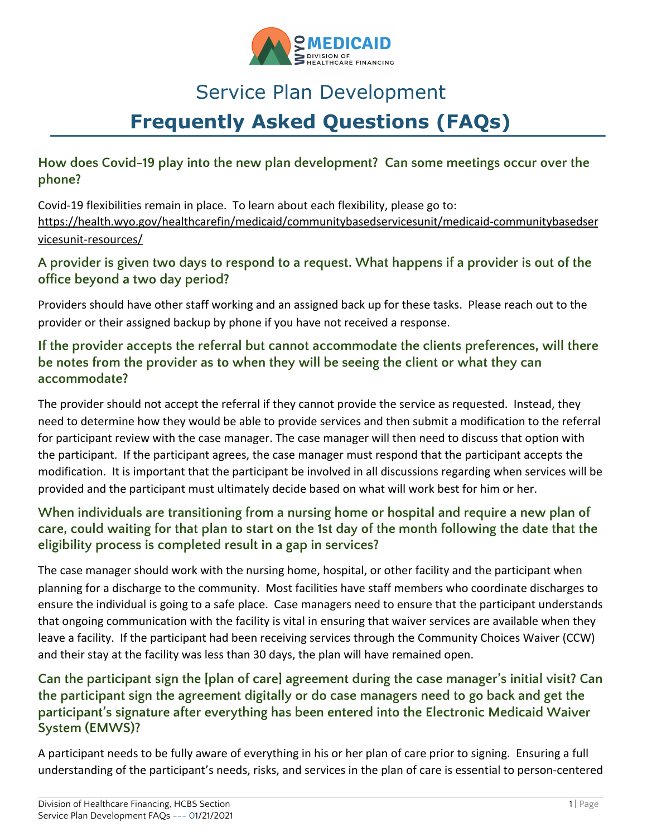

# Service Plan Development **Frequently Asked Questions (FAQs)**

## **How does Covid-19 play into the new plan development? Can some meetings occur over the phone?**

Covid-19 flexibilities remain in place. To learn about each flexibility, please go to: [https://health.wyo.gov/healthcarefin/medicaid/communitybasedservicesunit/medicaid-communitybasedser](https://health.wyo.gov/healthcarefin/medicaid/communitybasedservicesunit/medicaid-communitybasedservicesunit-resources/) [vicesunit-resources/](https://health.wyo.gov/healthcarefin/medicaid/communitybasedservicesunit/medicaid-communitybasedservicesunit-resources/)

# A provider is given two days to respond to a request. What happens if a provider is out of the **office beyond a two day period?**

Providers should have other staff working and an assigned back up for these tasks. Please reach out to the provider or their assigned backup by phone if you have not received a response.

# **If the provider accepts the referral but cannot accommodate the clients preferences, will there be notes from the provider as to when they will be seeing the client or what they can accommodate?**

The provider should not accept the referral if they cannot provide the service as requested. Instead, they need to determine how they would be able to provide services and then submit a modification to the referral for participant review with the case manager. The case manager will then need to discuss that option with the participant. If the participant agrees, the case manager must respond that the participant accepts the modification. It is important that the participant be involved in all discussions regarding when services will be provided and the participant must ultimately decide based on what will work best for him or her.

# **When individuals are transitioning from a nursing home or hospital and require a new plan of** care, could waiting for that plan to start on the 1st day of the month following the date that the **eligibility process is completed result in a gap in services?**

The case manager should work with the nursing home, hospital, or other facility and the participant when planning for a discharge to the community. Most facilities have staff members who coordinate discharges to ensure the individual is going to a safe place. Case managers need to ensure that the participant understands that ongoing communication with the facility is vital in ensuring that waiver services are available when they leave a facility. If the participant had been receiving services through the Community Choices Waiver (CCW) and their stay at the facility was less than 30 days, the plan will have remained open.

# **Can the participant sign the [plan of care] agreement during the case manager's initial visit? Can the participant sign the agreement digitally or do case managers need to go back and get the participant's signature after everything has been entered into the Electronic Medicaid Waiver System (EMWS)?**

A participant needs to be fully aware of everything in his or her plan of care prior to signing. Ensuring a full understanding of the participant's needs, risks, and services in the plan of care is essential to person-centered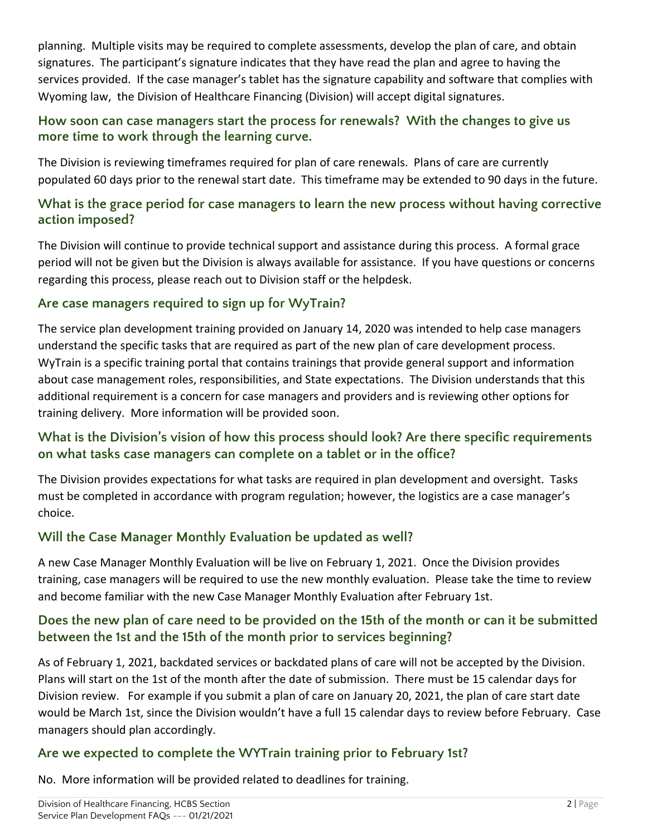planning. Multiple visits may be required to complete assessments, develop the plan of care, and obtain signatures. The participant's signature indicates that they have read the plan and agree to having the services provided. If the case manager's tablet has the signature capability and software that complies with Wyoming law, the Division of Healthcare Financing (Division) will accept digital signatures.

## **How soon can case managers start the process for renewals? With the changes to give us more time to work through the learning curve.**

The Division is reviewing timeframes required for plan of care renewals. Plans of care are currently populated 60 days prior to the renewal start date. This timeframe may be extended to 90 days in the future.

## **What is the grace period for case managers to learn the new process without having corrective action imposed?**

The Division will continue to provide technical support and assistance during this process. A formal grace period will not be given but the Division is always available for assistance. If you have questions or concerns regarding this process, please reach out to Division staff or the helpdesk.

# **Are case managers required to sign up for WyTrain?**

The service plan development training provided on January 14, 2020 was intended to help case managers understand the specific tasks that are required as part of the new plan of care development process. WyTrain is a specific training portal that contains trainings that provide general support and information about case management roles, responsibilities, and State expectations. The Division understands that this additional requirement is a concern for case managers and providers and is reviewing other options for training delivery. More information will be provided soon.

# **What is the Division's vision of how this process should look? Are there specific requirements on what tasks case managers can complete on a tablet or in the office?**

The Division provides expectations for what tasks are required in plan development and oversight. Tasks must be completed in accordance with program regulation; however, the logistics are a case manager's choice.

# **Will the Case Manager Monthly Evaluation be updated as well?**

A new Case Manager Monthly Evaluation will be live on February 1, 2021. Once the Division provides training, case managers will be required to use the new monthly evaluation. Please take the time to review and become familiar with the new Case Manager Monthly Evaluation after February 1st.

# Does the new plan of care need to be provided on the 15th of the month or can it be submitted **between the 1st and the 15th of the month prior to services beginning?**

As of February 1, 2021, backdated services or backdated plans of care will not be accepted by the Division. Plans will start on the 1st of the month after the date of submission. There must be 15 calendar days for Division review. For example if you submit a plan of care on January 20, 2021, the plan of care start date would be March 1st, since the Division wouldn't have a full 15 calendar days to review before February. Case managers should plan accordingly.

# **Are we expected to complete the WYTrain training prior to February 1st?**

No. More information will be provided related to deadlines for training.